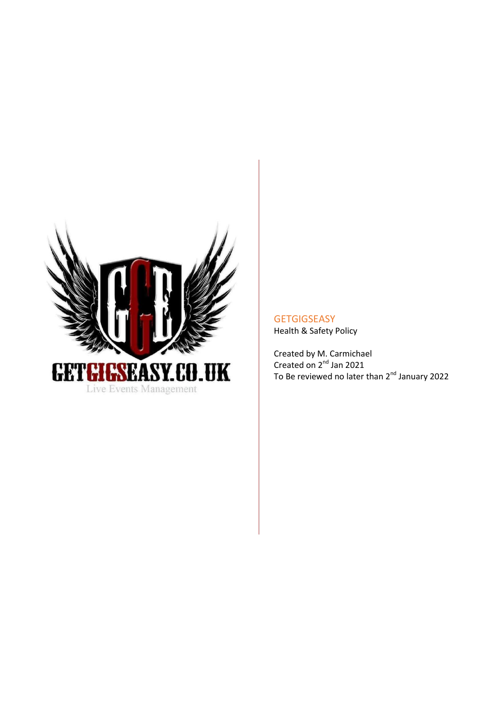

**GETGIGSEASY** Health & Safety Policy

Created by M. Carmichael Created on 2<sup>nd</sup> Jan 2021 To Be reviewed no later than 2<sup>nd</sup> January 2022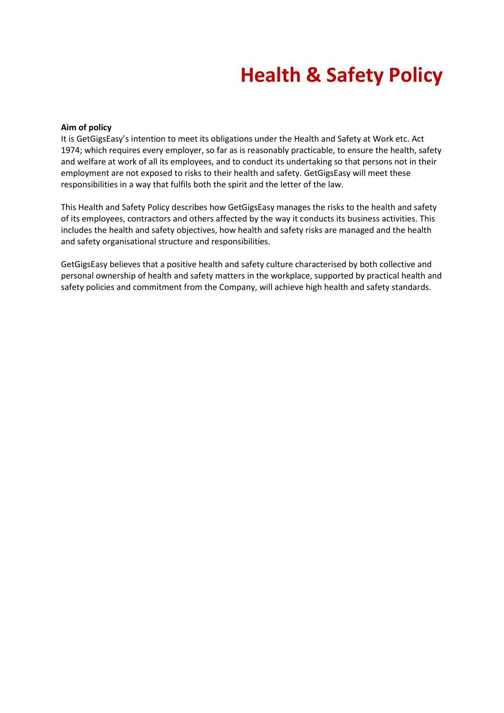## **Health & Safety Policy**

#### **Aim of policy**

It is GetGigsEasy's intention to meet its obligations under the Health and Safety at Work etc. Act 1974; which requires every employer, so far as is reasonably practicable, to ensure the health, safety and welfare at work of all its employees, and to conduct its undertaking so that persons not in their employment are not exposed to risks to their health and safety. GetGigsEasy will meet these responsibilities in a way that fulfils both the spirit and the letter of the law.

This Health and Safety Policy describes how GetGigsEasy manages the risks to the health and safety of its employees, contractors and others affected by the way it conducts its business activities. This includes the health and safety objectives, how health and safety risks are managed and the health and safety organisational structure and responsibilities.

GetGigsEasy believes that a positive health and safety culture characterised by both collective and personal ownership of health and safety matters in the workplace, supported by practical health and safety policies and commitment from the Company, will achieve high health and safety standards.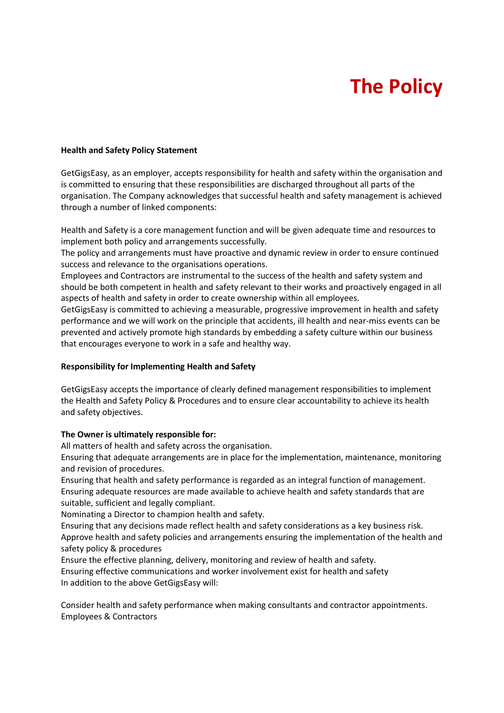# **The Policy**

#### **Health and Safety Policy Statement**

GetGigsEasy, as an employer, accepts responsibility for health and safety within the organisation and is committed to ensuring that these responsibilities are discharged throughout all parts of the organisation. The Company acknowledges that successful health and safety management is achieved through a number of linked components:

Health and Safety is a core management function and will be given adequate time and resources to implement both policy and arrangements successfully.

The policy and arrangements must have proactive and dynamic review in order to ensure continued success and relevance to the organisations operations.

Employees and Contractors are instrumental to the success of the health and safety system and should be both competent in health and safety relevant to their works and proactively engaged in all aspects of health and safety in order to create ownership within all employees.

GetGigsEasy is committed to achieving a measurable, progressive improvement in health and safety performance and we will work on the principle that accidents, ill health and near-miss events can be prevented and actively promote high standards by embedding a safety culture within our business that encourages everyone to work in a safe and healthy way.

#### **Responsibility for Implementing Health and Safety**

GetGigsEasy accepts the importance of clearly defined management responsibilities to implement the Health and Safety Policy & Procedures and to ensure clear accountability to achieve its health and safety objectives.

#### **The Owner is ultimately responsible for:**

All matters of health and safety across the organisation.

Ensuring that adequate arrangements are in place for the implementation, maintenance, monitoring and revision of procedures.

Ensuring that health and safety performance is regarded as an integral function of management. Ensuring adequate resources are made available to achieve health and safety standards that are suitable, sufficient and legally compliant.

Nominating a Director to champion health and safety.

Ensuring that any decisions made reflect health and safety considerations as a key business risk. Approve health and safety policies and arrangements ensuring the implementation of the health and safety policy & procedures

Ensure the effective planning, delivery, monitoring and review of health and safety. Ensuring effective communications and worker involvement exist for health and safety In addition to the above GetGigsEasy will:

Consider health and safety performance when making consultants and contractor appointments. Employees & Contractors